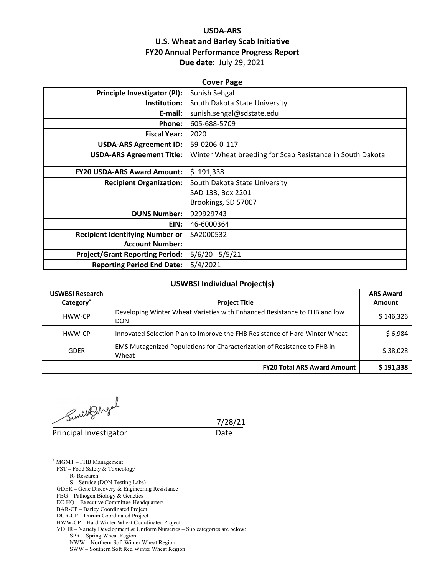## **USDA‐ARS U.S. Wheat and Barley Scab Initiative FY20 Annual Performance Progress Report Due date:** July 29, 2021

| <b>Cover Page</b>                      |                                                           |  |  |  |
|----------------------------------------|-----------------------------------------------------------|--|--|--|
| Principle Investigator (PI):           | Sunish Sehgal                                             |  |  |  |
| Institution:                           | South Dakota State University                             |  |  |  |
| E-mail:                                | sunish.sehgal@sdstate.edu                                 |  |  |  |
| Phone:                                 | 605-688-5709                                              |  |  |  |
| <b>Fiscal Year:</b>                    | 2020                                                      |  |  |  |
| <b>USDA-ARS Agreement ID:</b>          | 59-0206-0-117                                             |  |  |  |
| <b>USDA-ARS Agreement Title:</b>       | Winter Wheat breeding for Scab Resistance in South Dakota |  |  |  |
|                                        |                                                           |  |  |  |
| <b>FY20 USDA-ARS Award Amount:</b>     | \$191,338                                                 |  |  |  |
| <b>Recipient Organization:</b>         | South Dakota State University                             |  |  |  |
|                                        | SAD 133, Box 2201                                         |  |  |  |
|                                        | Brookings, SD 57007                                       |  |  |  |
| <b>DUNS Number:</b>                    | 929929743                                                 |  |  |  |
| EIN:                                   | 46-6000364                                                |  |  |  |
| <b>Recipient Identifying Number or</b> | SA2000532                                                 |  |  |  |
| <b>Account Number:</b>                 |                                                           |  |  |  |
| <b>Project/Grant Reporting Period:</b> | $5/6/20 - 5/5/21$                                         |  |  |  |
| <b>Reporting Period End Date:</b>      | 5/4/2021                                                  |  |  |  |

## **USWBSI Individual Project(s)**

| <b>USWBSI Research</b> |                                                                                         | <b>ARS Award</b> |
|------------------------|-----------------------------------------------------------------------------------------|------------------|
| Category <sup>*</sup>  | <b>Project Title</b>                                                                    | Amount           |
| HWW-CP                 | Developing Winter Wheat Varieties with Enhanced Resistance to FHB and low<br><b>DON</b> | \$146,326        |
| HWW-CP                 | Innovated Selection Plan to Improve the FHB Resistance of Hard Winter Wheat             | \$6,984          |
| <b>GDER</b>            | EMS Mutagenized Populations for Characterization of Resistance to FHB in<br>Wheat       | \$38,028         |
|                        | <b>FY20 Total ARS Award Amount</b>                                                      | \$191,338        |

 $Sunitelohgal$ <br>7/28/21

Principal Investigator **Date** 

 $\overline{a}$ 

\* MGMT – FHB Management FST – Food Safety & Toxicology R- Research S – Service (DON Testing Labs) GDER – Gene Discovery & Engineering Resistance PBG – Pathogen Biology & Genetics EC-HQ – Executive Committee-Headquarters BAR-CP – Barley Coordinated Project DUR-CP – Durum Coordinated Project HWW-CP – Hard Winter Wheat Coordinated Project VDHR – Variety Development & Uniform Nurseries – Sub categories are below: SPR – Spring Wheat Region NWW – Northern Soft Winter Wheat Region

SWW – Southern Soft Red Winter Wheat Region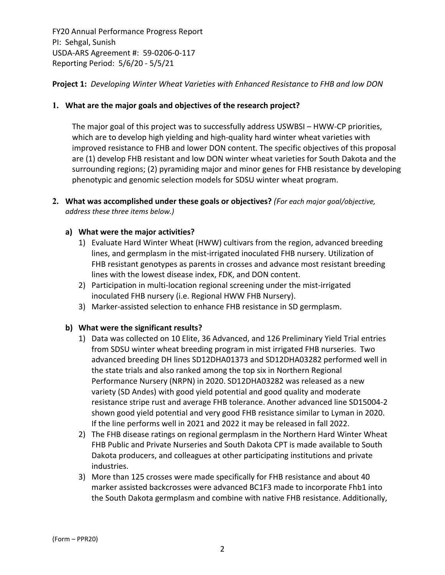## **Project 1:** *Developing Winter Wheat Varieties with Enhanced Resistance to FHB and low DON*

## **1. What are the major goals and objectives of the research project?**

The major goal of this project was to successfully address USWBSI – HWW‐CP priorities, which are to develop high yielding and high-quality hard winter wheat varieties with improved resistance to FHB and lower DON content. The specific objectives of this proposal are (1) develop FHB resistant and low DON winter wheat varieties for South Dakota and the surrounding regions; (2) pyramiding major and minor genes for FHB resistance by developing phenotypic and genomic selection models for SDSU winter wheat program.

**2. What was accomplished under these goals or objectives?** *(For each major goal/objective, address these three items below.)*

## **a) What were the major activities?**

- 1) Evaluate Hard Winter Wheat (HWW) cultivars from the region, advanced breeding lines, and germplasm in the mist‐irrigated inoculated FHB nursery. Utilization of FHB resistant genotypes as parents in crosses and advance most resistant breeding lines with the lowest disease index, FDK, and DON content.
- 2) Participation in multi-location regional screening under the mist-irrigated inoculated FHB nursery (i.e. Regional HWW FHB Nursery).
- 3) Marker‐assisted selection to enhance FHB resistance in SD germplasm.

## **b) What were the significant results?**

- 1) Data was collected on 10 Elite, 36 Advanced, and 126 Preliminary Yield Trial entries from SDSU winter wheat breeding program in mist irrigated FHB nurseries. Two advanced breeding DH lines SD12DHA01373 and SD12DHA03282 performed well in the state trials and also ranked among the top six in Northern Regional Performance Nursery (NRPN) in 2020. SD12DHA03282 was released as a new variety (SD Andes) with good yield potential and good quality and moderate resistance stripe rust and average FHB tolerance. Another advanced line SD15004‐2 shown good yield potential and very good FHB resistance similar to Lyman in 2020. If the line performs well in 2021 and 2022 it may be released in fall 2022.
- 2) The FHB disease ratings on regional germplasm in the Northern Hard Winter Wheat FHB Public and Private Nurseries and South Dakota CPT is made available to South Dakota producers, and colleagues at other participating institutions and private industries.
- 3) More than 125 crosses were made specifically for FHB resistance and about 40 marker assisted backcrosses were advanced BC1F3 made to incorporate Fhb1 into the South Dakota germplasm and combine with native FHB resistance. Additionally,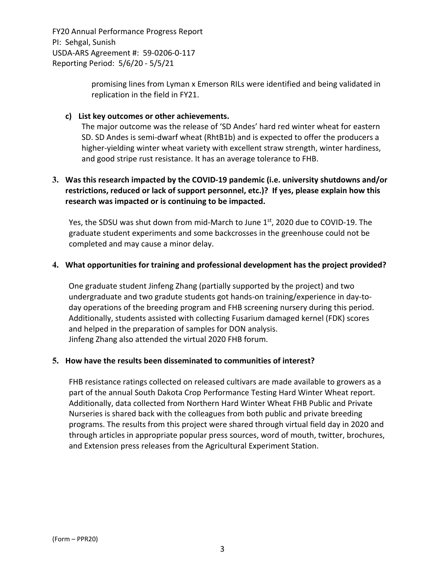> promising lines from Lyman x Emerson RILs were identified and being validated in replication in the field in FY21.

## **c) List key outcomes or other achievements.**

The major outcome was the release of 'SD Andes' hard red winter wheat for eastern SD. SD Andes is semi‐dwarf wheat (RhtB1b) and is expected to offer the producers a higher-yielding winter wheat variety with excellent straw strength, winter hardiness, and good stripe rust resistance. It has an average tolerance to FHB.

# **3. Was this research impacted by the COVID‐19 pandemic (i.e. university shutdowns and/or restrictions, reduced or lack of support personnel, etc.)? If yes, please explain how this research was impacted or is continuing to be impacted.**

Yes, the SDSU was shut down from mid-March to June 1<sup>st</sup>, 2020 due to COVID-19. The graduate student experiments and some backcrosses in the greenhouse could not be completed and may cause a minor delay.

## **4. What opportunities for training and professional development has the project provided?**

One graduate student Jinfeng Zhang (partially supported by the project) and two undergraduate and two gradute students got hands‐on training/experience in day‐to‐ day operations of the breeding program and FHB screening nursery during this period. Additionally, students assisted with collecting Fusarium damaged kernel (FDK) scores and helped in the preparation of samples for DON analysis. Jinfeng Zhang also attended the virtual 2020 FHB forum.

## **5. How have the results been disseminated to communities of interest?**

FHB resistance ratings collected on released cultivars are made available to growers as a part of the annual South Dakota Crop Performance Testing Hard Winter Wheat report. Additionally, data collected from Northern Hard Winter Wheat FHB Public and Private Nurseries is shared back with the colleagues from both public and private breeding programs. The results from this project were shared through virtual field day in 2020 and through articles in appropriate popular press sources, word of mouth, twitter, brochures, and Extension press releases from the Agricultural Experiment Station.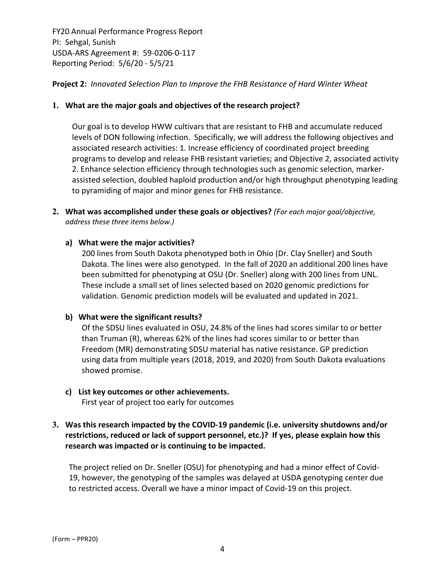## **Project 2:** *Innovated Selection Plan to Improve the FHB Resistance of Hard Winter Wheat*

## **1. What are the major goals and objectives of the research project?**

Our goal is to develop HWW cultivars that are resistant to FHB and accumulate reduced levels of DON following infection. Specifically, we will address the following objectives and associated research activities: 1. Increase efficiency of coordinated project breeding programs to develop and release FHB resistant varieties; and Objective 2, associated activity 2. Enhance selection efficiency through technologies such as genomic selection, marker‐ assisted selection, doubled haploid production and/or high throughput phenotyping leading to pyramiding of major and minor genes for FHB resistance.

**2. What was accomplished under these goals or objectives?** *(For each major goal/objective, address these three items below.)*

## **a) What were the major activities?**

200 lines from South Dakota phenotyped both in Ohio (Dr. Clay Sneller) and South Dakota. The lines were also genotyped. In the fall of 2020 an additional 200 lines have been submitted for phenotyping at OSU (Dr. Sneller) along with 200 lines from UNL. These include a small set of lines selected based on 2020 genomic predictions for validation. Genomic prediction models will be evaluated and updated in 2021.

## **b) What were the significant results?**

Of the SDSU lines evaluated in OSU, 24.8% of the lines had scores similar to or better than Truman (R), whereas 62% of the lines had scores similar to or better than Freedom (MR) demonstrating SDSU material has native resistance. GP prediction using data from multiple years (2018, 2019, and 2020) from South Dakota evaluations showed promise.

# **c) List key outcomes or other achievements.**

First year of project too early for outcomes

# **3. Was this research impacted by the COVID‐19 pandemic (i.e. university shutdowns and/or restrictions, reduced or lack of support personnel, etc.)? If yes, please explain how this research was impacted or is continuing to be impacted.**

The project relied on Dr. Sneller (OSU) for phenotyping and had a minor effect of Covid‐ 19, however, the genotyping of the samples was delayed at USDA genotyping center due to restricted access. Overall we have a minor impact of Covid‐19 on this project.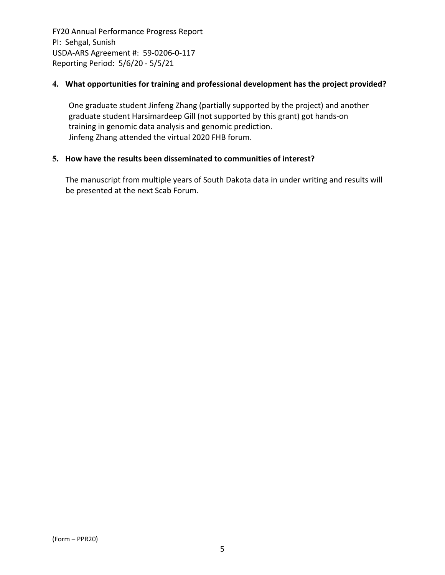## **4. What opportunities for training and professional development has the project provided?**

One graduate student Jinfeng Zhang (partially supported by the project) and another graduate student Harsimardeep Gill (not supported by this grant) got hands‐on training in genomic data analysis and genomic prediction. Jinfeng Zhang attended the virtual 2020 FHB forum.

## **5. How have the results been disseminated to communities of interest?**

The manuscript from multiple years of South Dakota data in under writing and results will be presented at the next Scab Forum.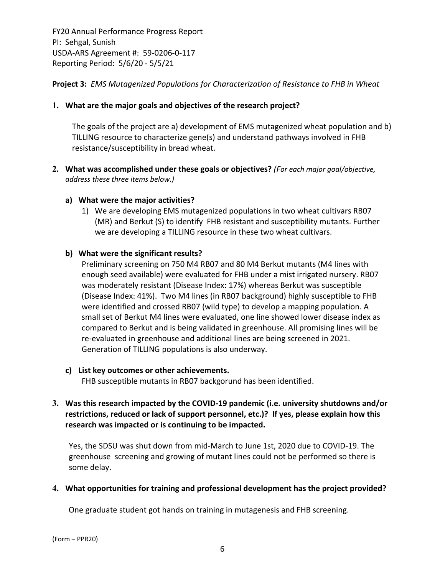**Project 3:** *EMS Mutagenized Populations for Characterization of Resistance to FHB in Wheat*

## **1. What are the major goals and objectives of the research project?**

The goals of the project are a) development of EMS mutagenized wheat population and b) TILLING resource to characterize gene(s) and understand pathways involved in FHB resistance/susceptibility in bread wheat.

- **2. What was accomplished under these goals or objectives?** *(For each major goal/objective, address these three items below.)*
	- **a) What were the major activities?**
		- 1) We are developing EMS mutagenized populations in two wheat cultivars RB07 (MR) and Berkut (S) to identify FHB resistant and susceptibility mutants. Further we are developing a TILLING resource in these two wheat cultivars.

## **b) What were the significant results?**

Preliminary screening on 750 M4 RB07 and 80 M4 Berkut mutants (M4 lines with enough seed available) were evaluated for FHB under a mist irrigated nursery. RB07 was moderately resistant (Disease Index: 17%) whereas Berkut was susceptible (Disease Index: 41%). Two M4 lines (in RB07 background) highly susceptible to FHB were identified and crossed RB07 (wild type) to develop a mapping population. A small set of Berkut M4 lines were evaluated, one line showed lower disease index as compared to Berkut and is being validated in greenhouse. All promising lines will be re‐evaluated in greenhouse and additional lines are being screened in 2021. Generation of TILLING populations is also underway.

## **c) List key outcomes or other achievements.**

FHB susceptible mutants in RB07 backgorund has been identified.

# **3. Was this research impacted by the COVID‐19 pandemic (i.e. university shutdowns and/or restrictions, reduced or lack of support personnel, etc.)? If yes, please explain how this research was impacted or is continuing to be impacted.**

Yes, the SDSU was shut down from mid‐March to June 1st, 2020 due to COVID‐19. The greenhouse screening and growing of mutant lines could not be performed so there is some delay.

## **4. What opportunities for training and professional development has the project provided?**

One graduate student got hands on training in mutagenesis and FHB screening.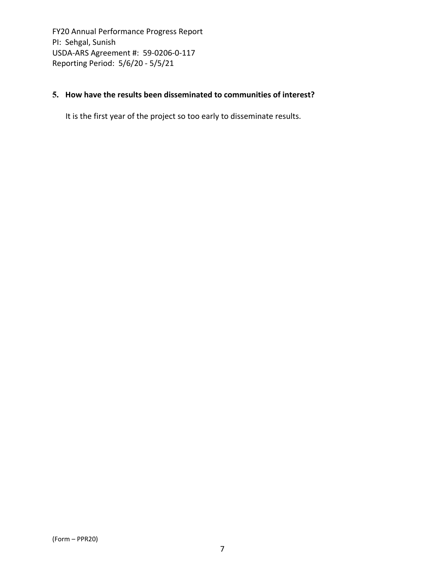# **5. How have the results been disseminated to communities of interest?**

It is the first year of the project so too early to disseminate results.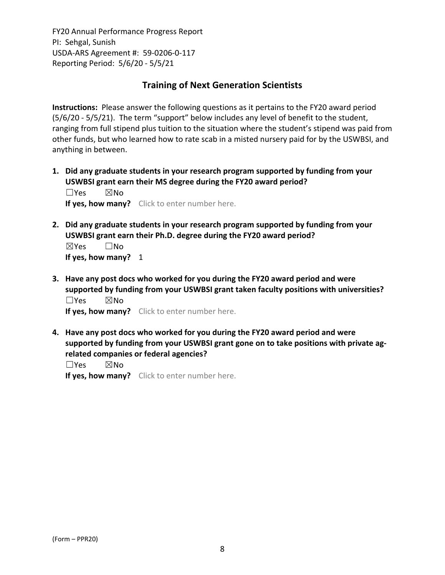# **Training of Next Generation Scientists**

**Instructions:** Please answer the following questions as it pertains to the FY20 award period (5/6/20 ‐ 5/5/21). The term "support" below includes any level of benefit to the student, ranging from full stipend plus tuition to the situation where the student's stipend was paid from other funds, but who learned how to rate scab in a misted nursery paid for by the USWBSI, and anything in between.

**1. Did any graduate students in your research program supported by funding from your USWBSI grant earn their MS degree during the FY20 award period?** ☐Yes ☒No

**If yes, how many?** Click to enter number here.

**2. Did any graduate students in your research program supported by funding from your USWBSI grant earn their Ph.D. degree during the FY20 award period?** ☒Yes ☐No

**If yes, how many?** 1

**3. Have any post docs who worked for you during the FY20 award period and were supported by funding from your USWBSI grant taken faculty positions with universities?** ☐Yes ☒No

**If yes, how many?** Click to enter number here.

**4. Have any post docs who worked for you during the FY20 award period and were supported by funding from your USWBSI grant gone on to take positions with private ag‐ related companies or federal agencies?**

☐Yes ☒No

**If yes, how many?** Click to enter number here.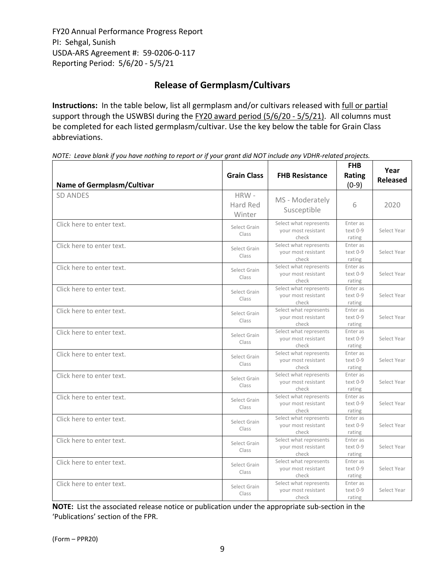# **Release of Germplasm/Cultivars**

**Instructions:** In the table below, list all germplasm and/or cultivars released with full or partial support through the USWBSI during the FY20 award period (5/6/20 ‐ 5/5/21). All columns must be completed for each listed germplasm/cultivar. Use the key below the table for Grain Class abbreviations. 

| <b>Name of Germplasm/Cultivar</b> | <b>Grain Class</b>         | <b>FHB Resistance</b>                                  | <b>FHB</b><br>Rating<br>$(0-9)$ | Year<br><b>Released</b> |
|-----------------------------------|----------------------------|--------------------------------------------------------|---------------------------------|-------------------------|
| <b>SD ANDES</b>                   | HRW-<br>Hard Red<br>Winter | MS - Moderately<br>Susceptible                         | 6                               | 2020                    |
| Click here to enter text.         | Select Grain<br>Class      | Select what represents<br>your most resistant<br>check | Enter as<br>text 0-9<br>rating  | Select Year             |
| Click here to enter text.         | Select Grain<br>Class      | Select what represents<br>your most resistant<br>check | Enter as<br>text 0-9<br>rating  | Select Year             |
| Click here to enter text.         | Select Grain<br>Class      | Select what represents<br>your most resistant<br>check | Enter as<br>text 0-9<br>rating  | Select Year             |
| Click here to enter text.         | Select Grain<br>Class      | Select what represents<br>your most resistant<br>check | Enter as<br>text 0-9<br>rating  | Select Year             |
| Click here to enter text.         | Select Grain<br>Class      | Select what represents<br>your most resistant<br>check | Enter as<br>text 0-9<br>rating  | Select Year             |
| Click here to enter text.         | Select Grain<br>Class      | Select what represents<br>your most resistant<br>check | Enter as<br>text 0-9<br>rating  | Select Year             |
| Click here to enter text.         | Select Grain<br>Class      | Select what represents<br>your most resistant<br>check | Enter as<br>text 0-9<br>rating  | Select Year             |
| Click here to enter text.         | Select Grain<br>Class      | Select what represents<br>your most resistant<br>check | Enter as<br>text 0-9<br>rating  | Select Year             |
| Click here to enter text.         | Select Grain<br>Class      | Select what represents<br>your most resistant<br>check | Enter as<br>text 0-9<br>rating  | Select Year             |
| Click here to enter text.         | Select Grain<br>Class      | Select what represents<br>your most resistant<br>check | Enter as<br>text 0-9<br>rating  | Select Year             |
| Click here to enter text.         | Select Grain<br>Class      | Select what represents<br>your most resistant<br>check | Enter as<br>text 0-9<br>rating  | Select Year             |
| Click here to enter text.         | Select Grain<br>Class      | Select what represents<br>your most resistant<br>check | Enter as<br>text 0-9<br>rating  | Select Year             |
| Click here to enter text.         | Select Grain<br>Class      | Select what represents<br>your most resistant<br>check | Enter as<br>text 0-9<br>rating  | Select Year             |

NOTE: Leave blank if you have nothing to report or if your grant did NOT include any VDHR-related projects.

**NOTE:** List the associated release notice or publication under the appropriate sub-section in the 'Publications' section of the FPR.

(Form – PPR20)